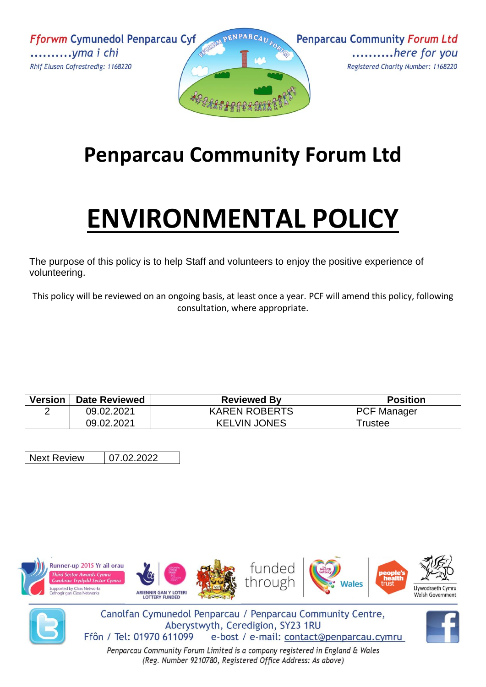**Fforwm Cymunedol Penparcau Cyf** ............*yma i chi* Rhif Elusen Cofrestredig: 1168220





## **Penparcau Community Forum Ltd**

## **ENVIRONMENTAL POLICY**

The purpose of this policy is to help Staff and volunteers to enjoy the positive experience of volunteering.

This policy will be reviewed on an ongoing basis, at least once a year. PCF will amend this policy, following consultation, where appropriate.

| <b>Version</b> | <b>Date Reviewed</b> | <b>Reviewed By</b>   | <b>Position</b>    |
|----------------|----------------------|----------------------|--------------------|
|                | 09.02.2021           | <b>KAREN ROBERTS</b> | <b>PCF Manager</b> |
|                | 09.02.2021           | <b>KELVIN JONES</b>  | ⊺rustee            |

Next Review | 07.02.2022





Canolfan Cymunedol Penparcau / Penparcau Community Centre, Aberystwyth, Ceredigion, SY23 1RU Ffôn / Tel: 01970 611099 e-bost / e-mail: contact@penparcau.cymru

Penparcau Community Forum Limited is a company registered in England & Wales (Reg. Number 9210780, Registered Office Address: As above)